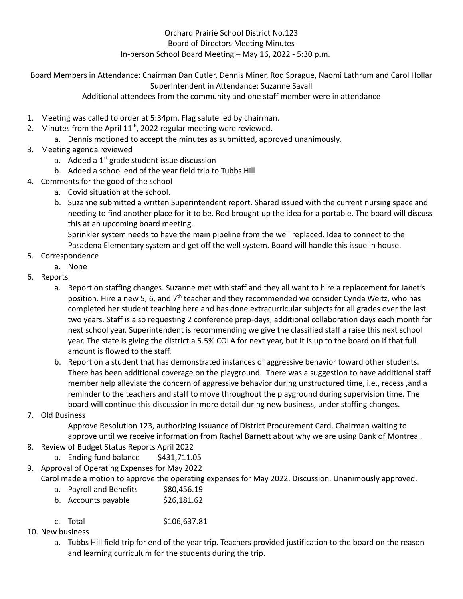## Orchard Prairie School District No.123 Board of Directors Meeting Minutes In-person School Board Meeting – May 16, 2022 - 5:30 p.m.

Board Members in Attendance: Chairman Dan Cutler, Dennis Miner, Rod Sprague, Naomi Lathrum and Carol Hollar Superintendent in Attendance: Suzanne Savall

Additional attendees from the community and one staff member were in attendance

- 1. Meeting was called to order at 5:34pm. Flag salute led by chairman.
- 2. Minutes from the April  $11<sup>th</sup>$ , 2022 regular meeting were reviewed.
	- a. Dennis motioned to accept the minutes as submitted, approved unanimously.
- 3. Meeting agenda reviewed
	- a. Added a  $1<sup>st</sup>$  grade student issue discussion
	- b. Added a school end of the year field trip to Tubbs Hill
- 4. Comments for the good of the school
	- a. Covid situation at the school.
	- b. Suzanne submitted a written Superintendent report. Shared issued with the current nursing space and needing to find another place for it to be. Rod brought up the idea for a portable. The board will discuss this at an upcoming board meeting.

Sprinkler system needs to have the main pipeline from the well replaced. Idea to connect to the Pasadena Elementary system and get off the well system. Board will handle this issue in house.

- 5. Correspondence
	- a. None
- 6. Reports
	- a. Report on staffing changes. Suzanne met with staff and they all want to hire a replacement for Janet's position. Hire a new 5, 6, and 7<sup>th</sup> teacher and they recommended we consider Cynda Weitz, who has completed her student teaching here and has done extracurricular subjects for all grades over the last two years. Staff is also requesting 2 conference prep-days, additional collaboration days each month for next school year. Superintendent is recommending we give the classified staff a raise this next school year. The state is giving the district a 5.5% COLA for next year, but it is up to the board on if that full amount is flowed to the staff.
	- b. Report on a student that has demonstrated instances of aggressive behavior toward other students. There has been additional coverage on the playground. There was a suggestion to have additional staff member help alleviate the concern of aggressive behavior during unstructured time, i.e., recess ,and a reminder to the teachers and staff to move throughout the playground during supervision time. The board will continue this discussion in more detail during new business, under staffing changes.
- 7. Old Business

Approve Resolution 123, authorizing Issuance of District Procurement Card. Chairman waiting to approve until we receive information from Rachel Barnett about why we are using Bank of Montreal.

## 8. Review of Budget Status Reports April 2022

- a. Ending fund balance \$431,711.05
- 9. Approval of Operating Expenses for May 2022

Carol made a motion to approve the operating expenses for May 2022. Discussion. Unanimously approved.

- a. Payroll and Benefits \$80,456.19
- b. Accounts payable  $$26,181.62$
- c. Total \$106,637.81
- 10. New business
	- a. Tubbs Hill field trip for end of the year trip. Teachers provided justification to the board on the reason and learning curriculum for the students during the trip.